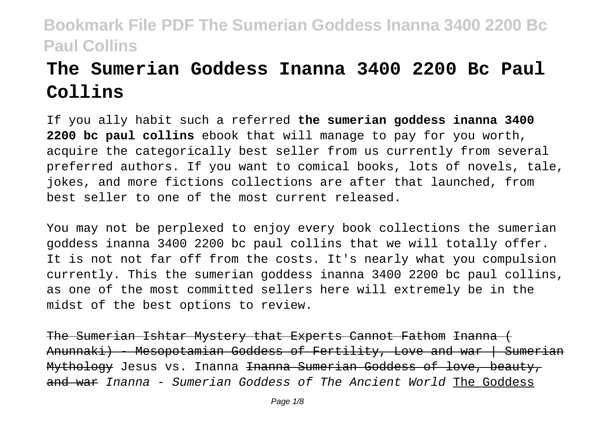# **The Sumerian Goddess Inanna 3400 2200 Bc Paul Collins**

If you ally habit such a referred **the sumerian goddess inanna 3400 2200 bc paul collins** ebook that will manage to pay for you worth, acquire the categorically best seller from us currently from several preferred authors. If you want to comical books, lots of novels, tale, jokes, and more fictions collections are after that launched, from best seller to one of the most current released.

You may not be perplexed to enjoy every book collections the sumerian goddess inanna 3400 2200 bc paul collins that we will totally offer. It is not not far off from the costs. It's nearly what you compulsion currently. This the sumerian goddess inanna 3400 2200 bc paul collins, as one of the most committed sellers here will extremely be in the midst of the best options to review.

The Sumerian Ishtar Mystery that Experts Cannot Fathom Inanna ( Anunnaki) - Mesopotamian Goddess of Fertility, Love and war | Sumerian Mythology Jesus vs. Inanna <del>Inanna Sumerian Goddess of love, beauty,</del> and war Inanna - Sumerian Goddess of The Ancient World The Goddess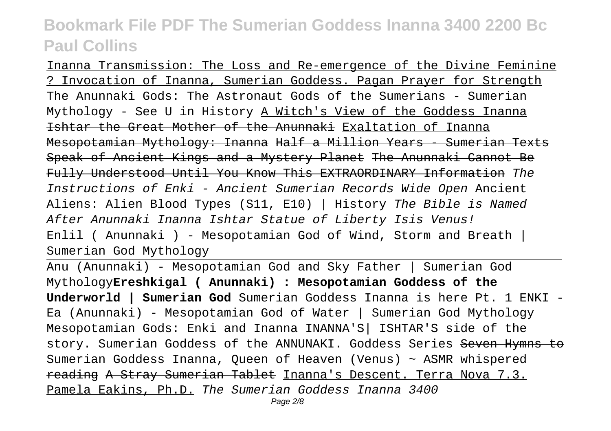Inanna Transmission: The Loss and Re-emergence of the Divine Feminine ? Invocation of Inanna, Sumerian Goddess. Pagan Prayer for Strength The Anunnaki Gods: The Astronaut Gods of the Sumerians - Sumerian Mythology - See U in History A Witch's View of the Goddess Inanna Ishtar the Great Mother of the Anunnaki Exaltation of Inanna Mesopotamian Mythology: Inanna Half a Million Years - Sumerian Texts Speak of Ancient Kings and a Mystery Planet The Anunnaki Cannot Be Fully Understood Until You Know This EXTRAORDINARY Information The Instructions of Enki - Ancient Sumerian Records Wide Open Ancient Aliens: Alien Blood Types (S11, E10) | History The Bible is Named After Anunnaki Inanna Ishtar Statue of Liberty Isis Venus!

Enlil ( Anunnaki ) - Mesopotamian God of Wind, Storm and Breath  $|$ Sumerian God Mythology

Anu (Anunnaki) - Mesopotamian God and Sky Father | Sumerian God Mythology**Ereshkigal ( Anunnaki) : Mesopotamian Goddess of the Underworld | Sumerian God** Sumerian Goddess Inanna is here Pt. 1 ENKI - Ea (Anunnaki) - Mesopotamian God of Water | Sumerian God Mythology Mesopotamian Gods: Enki and Inanna INANNA'S| ISHTAR'S side of the story. Sumerian Goddess of the ANNUNAKI. Goddess Series Seven Hymns to Sumerian Goddess Inanna, Queen of Heaven (Venus) ~ ASMR whispered reading A Stray Sumerian Tablet Inanna's Descent. Terra Nova 7.3. Pamela Eakins, Ph.D. The Sumerian Goddess Inanna 3400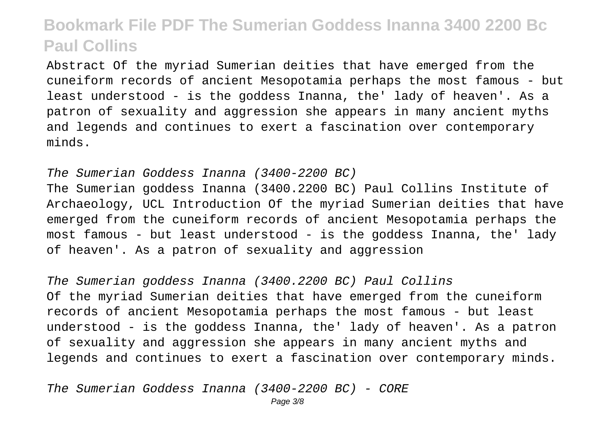Abstract Of the myriad Sumerian deities that have emerged from the cuneiform records of ancient Mesopotamia perhaps the most famous - but least understood - is the goddess Inanna, the' lady of heaven'. As a patron of sexuality and aggression she appears in many ancient myths and legends and continues to exert a fascination over contemporary minds.

The Sumerian Goddess Inanna (3400-2200 BC)

The Sumerian goddess Inanna (3400.2200 BC) Paul Collins Institute of Archaeology, UCL Introduction Of the myriad Sumerian deities that have emerged from the cuneiform records of ancient Mesopotamia perhaps the most famous - but least understood - is the goddess Inanna, the' lady of heaven'. As a patron of sexuality and aggression

The Sumerian goddess Inanna (3400.2200 BC) Paul Collins Of the myriad Sumerian deities that have emerged from the cuneiform records of ancient Mesopotamia perhaps the most famous - but least understood - is the goddess Inanna, the' lady of heaven'. As a patron of sexuality and aggression she appears in many ancient myths and legends and continues to exert a fascination over contemporary minds.

The Sumerian Goddess Inanna (3400-2200 BC) - CORE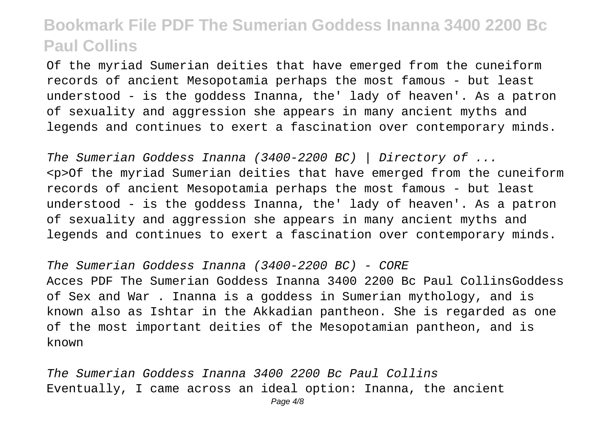Of the myriad Sumerian deities that have emerged from the cuneiform records of ancient Mesopotamia perhaps the most famous - but least understood - is the goddess Inanna, the' lady of heaven'. As a patron of sexuality and aggression she appears in many ancient myths and legends and continues to exert a fascination over contemporary minds.

The Sumerian Goddess Inanna (3400-2200 BC) | Directory of ... <p>Of the myriad Sumerian deities that have emerged from the cuneiform records of ancient Mesopotamia perhaps the most famous - but least understood - is the goddess Inanna, the' lady of heaven'. As a patron of sexuality and aggression she appears in many ancient myths and legends and continues to exert a fascination over contemporary minds.

The Sumerian Goddess Inanna (3400-2200 BC) - CORE Acces PDF The Sumerian Goddess Inanna 3400 2200 Bc Paul CollinsGoddess of Sex and War . Inanna is a goddess in Sumerian mythology, and is known also as Ishtar in the Akkadian pantheon. She is regarded as one of the most important deities of the Mesopotamian pantheon, and is known

The Sumerian Goddess Inanna 3400 2200 Bc Paul Collins Eventually, I came across an ideal option: Inanna, the ancient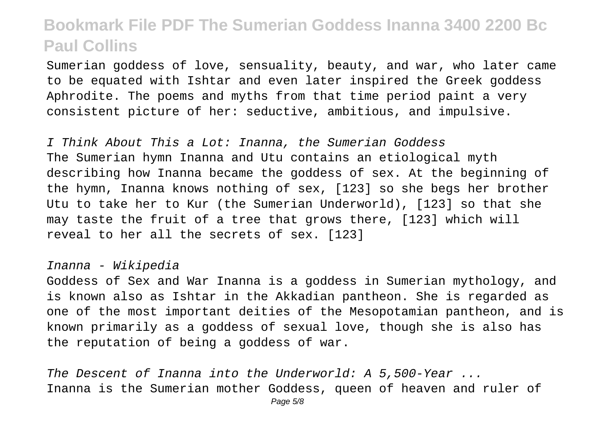Sumerian goddess of love, sensuality, beauty, and war, who later came to be equated with Ishtar and even later inspired the Greek goddess Aphrodite. The poems and myths from that time period paint a very consistent picture of her: seductive, ambitious, and impulsive.

I Think About This a Lot: Inanna, the Sumerian Goddess The Sumerian hymn Inanna and Utu contains an etiological myth describing how Inanna became the goddess of sex. At the beginning of the hymn, Inanna knows nothing of sex, [123] so she begs her brother Utu to take her to Kur (the Sumerian Underworld), [123] so that she may taste the fruit of a tree that grows there, [123] which will reveal to her all the secrets of sex. [123]

#### Inanna - Wikipedia

Goddess of Sex and War Inanna is a goddess in Sumerian mythology, and is known also as Ishtar in the Akkadian pantheon. She is regarded as one of the most important deities of the Mesopotamian pantheon, and is known primarily as a goddess of sexual love, though she is also has the reputation of being a goddess of war.

The Descent of Inanna into the Underworld: A 5,500-Year ... Inanna is the Sumerian mother Goddess, queen of heaven and ruler of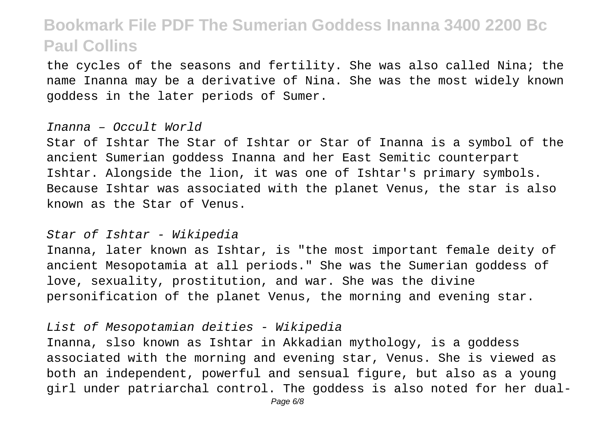the cycles of the seasons and fertility. She was also called Nina; the name Inanna may be a derivative of Nina. She was the most widely known goddess in the later periods of Sumer.

#### Inanna – Occult World

Star of Ishtar The Star of Ishtar or Star of Inanna is a symbol of the ancient Sumerian goddess Inanna and her East Semitic counterpart Ishtar. Alongside the lion, it was one of Ishtar's primary symbols. Because Ishtar was associated with the planet Venus, the star is also known as the Star of Venus.

#### Star of Ishtar - Wikipedia

Inanna, later known as Ishtar, is "the most important female deity of ancient Mesopotamia at all periods." She was the Sumerian goddess of love, sexuality, prostitution, and war. She was the divine personification of the planet Venus, the morning and evening star.

#### List of Mesopotamian deities - Wikipedia

Inanna, slso known as Ishtar in Akkadian mythology, is a goddess associated with the morning and evening star, Venus. She is viewed as both an independent, powerful and sensual figure, but also as a young girl under patriarchal control. The goddess is also noted for her dual-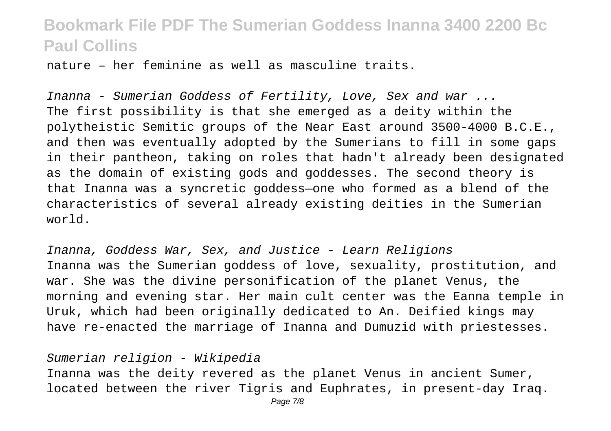nature – her feminine as well as masculine traits.

Inanna - Sumerian Goddess of Fertility, Love, Sex and war ... The first possibility is that she emerged as a deity within the polytheistic Semitic groups of the Near East around 3500-4000 B.C.E., and then was eventually adopted by the Sumerians to fill in some gaps in their pantheon, taking on roles that hadn't already been designated as the domain of existing gods and goddesses. The second theory is that Inanna was a syncretic goddess—one who formed as a blend of the characteristics of several already existing deities in the Sumerian world.

Inanna, Goddess War, Sex, and Justice - Learn Religions Inanna was the Sumerian goddess of love, sexuality, prostitution, and war. She was the divine personification of the planet Venus, the morning and evening star. Her main cult center was the Eanna temple in Uruk, which had been originally dedicated to An. Deified kings may have re-enacted the marriage of Inanna and Dumuzid with priestesses.

#### Sumerian religion - Wikipedia

Inanna was the deity revered as the planet Venus in ancient Sumer, located between the river Tigris and Euphrates, in present-day Iraq.